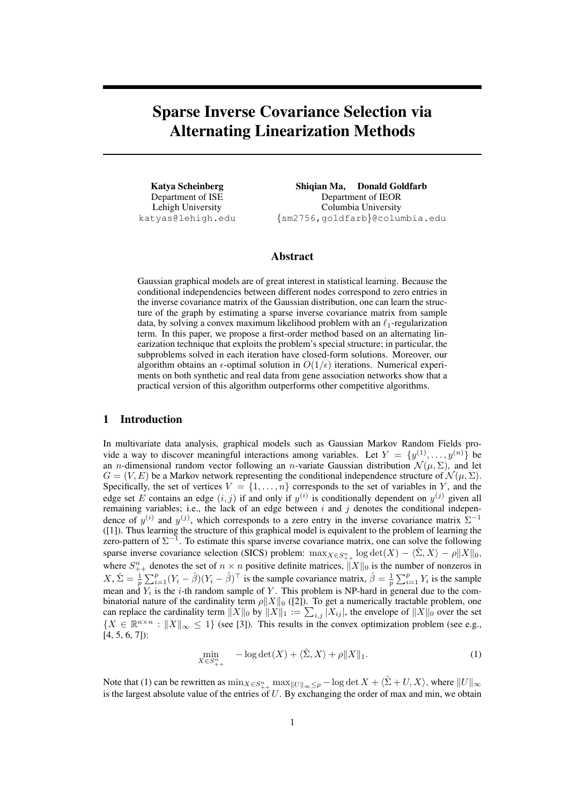# Sparse Inverse Covariance Selection via Alternating Linearization Methods

Katya Scheinberg Department of ISE Lehigh University katyas@lehigh.edu

Shiqian Ma, Donald Goldfarb Department of IEOR Columbia University *{*sm2756,goldfarb*}*@columbia.edu

# Abstract

Gaussian graphical models are of great interest in statistical learning. Because the conditional independencies between different nodes correspond to zero entries in the inverse covariance matrix of the Gaussian distribution, one can learn the structure of the graph by estimating a sparse inverse covariance matrix from sample data, by solving a convex maximum likelihood problem with an *ℓ*1-regularization term. In this paper, we propose a first-order method based on an alternating linearization technique that exploits the problem's special structure; in particular, the subproblems solved in each iteration have closed-form solutions. Moreover, our algorithm obtains an  $\epsilon$ -optimal solution in  $O(1/\epsilon)$  iterations. Numerical experiments on both synthetic and real data from gene association networks show that a practical version of this algorithm outperforms other competitive algorithms.

#### 1 Introduction

In multivariate data analysis, graphical models such as Gaussian Markov Random Fields provide a way to discover meaningful interactions among variables. Let  $Y = \{y^{(1)}, \ldots, y^{(n)}\}$  be an *n*-dimensional random vector following an *n*-variate Gaussian distribution  $\mathcal{N}(\mu, \Sigma)$ , and let  $G = (V, E)$  be a Markov network representing the conditional independence structure of  $\mathcal{N}(\mu, \Sigma)$ . Specifically, the set of vertices  $V = \{1, \ldots, n\}$  corresponds to the set of variables in *Y*, and the edge set *E* contains an edge  $(i, j)$  if and only if  $y^{(i)}$  is conditionally dependent on  $y^{(j)}$  given all remaining variables; i.e., the lack of an edge between *i* and *j* denotes the conditional independence of  $y^{(i)}$  and  $y^{(j)}$ , which corresponds to a zero entry in the inverse covariance matrix  $\Sigma^{-1}$ ([1]). Thus learning the structure of this graphical model is equivalent to the problem of learning the zero-pattern of Σ *−*1 . To estimate this sparse inverse covariance matrix, one can solve the following sparse inverse covariance selection (SICS) problem:  $\max_{X \in S_{++}^n} \log \det(X) - \langle \hat{\Sigma}, X \rangle - \rho \|X\|_0$ , where  $S_{++}^n$  denotes the set of  $n \times n$  positive definite matrices,  $||X||_0$  is the number of nonzeros in  $X, \hat{\Sigma} = \frac{1}{p} \sum_{i=1}^p (Y_i - \hat{\beta})(Y_i - \hat{\beta})^\top$  is the sample covariance matrix,  $\hat{\beta} = \frac{1}{p} \sum_{i=1}^p Y_i$  is the sample mean and *Y<sup>i</sup>* is the *i*-th random sample of *Y* . This problem is NP-hard in general due to the combinatorial nature of the cardinality term *ρ∥X∥*<sup>0</sup> ([2]). To get a numerically tractable problem, one can replace the cardinality term  $||X||_0$  by  $||X||_1 := \sum_{i,j} |X_{ij}|$ , the envelope of  $||X||_0$  over the set  ${X \in \mathbb{R}^{n \times n} : \|X\|_{\infty} \leq 1}$  (see [3]). This results in the convex optimization problem (see e.g., [4, 5, 6, 7]):

$$
\min_{X \in S_{++}^n} \quad -\log \det(X) + \langle \hat{\Sigma}, X \rangle + \rho \| X \|_1. \tag{1}
$$

Note that (1) can be rewritten as  $\min_{X \in S_{++}^n} \max_{||U||_{\infty} \leq \rho} - \log \det X + \langle \hat{\Sigma} + U, X \rangle$ , where  $||U||_{\infty}$ is the largest absolute value of the entries of *U*. By exchanging the order of max and min, we obtain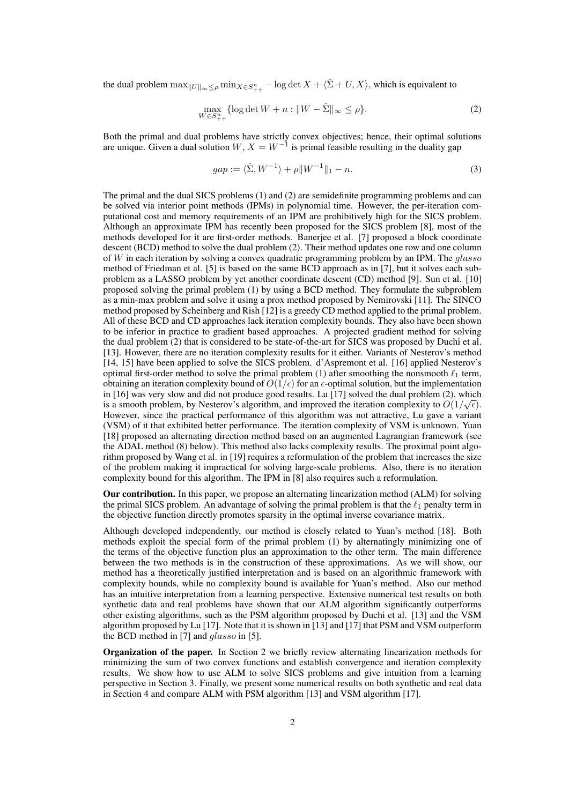the dual problem  $\max_{\|U\|_{\infty} \leq \rho} \min_{X \in S_{++}^n} - \log \det X + \langle \hat{\Sigma} + U, X \rangle$ , which is equivalent to

$$
\max_{W \in S_{++}^n} \{ \log \det W + n : \|W - \hat{\Sigma}\|_{\infty} \le \rho \}. \tag{2}
$$

Both the primal and dual problems have strictly convex objectives; hence, their optimal solutions are unique. Given a dual solution  $W$ ,  $X = W^{-1}$  is primal feasible resulting in the duality gap

$$
gap := \langle \hat{\Sigma}, W^{-1} \rangle + \rho \| W^{-1} \|_1 - n. \tag{3}
$$

The primal and the dual SICS problems (1) and (2) are semidefinite programming problems and can be solved via interior point methods (IPMs) in polynomial time. However, the per-iteration computational cost and memory requirements of an IPM are prohibitively high for the SICS problem. Although an approximate IPM has recently been proposed for the SICS problem [8], most of the methods developed for it are first-order methods. Banerjee et al. [7] proposed a block coordinate descent (BCD) method to solve the dual problem (2). Their method updates one row and one column of *W* in each iteration by solving a convex quadratic programming problem by an IPM. The *glasso* method of Friedman et al. [5] is based on the same BCD approach as in [7], but it solves each subproblem as a LASSO problem by yet another coordinate descent (CD) method [9]. Sun et al. [10] proposed solving the primal problem (1) by using a BCD method. They formulate the subproblem as a min-max problem and solve it using a prox method proposed by Nemirovski [11]. The SINCO method proposed by Scheinberg and Rish [12] is a greedy CD method applied to the primal problem. All of these BCD and CD approaches lack iteration complexity bounds. They also have been shown to be inferior in practice to gradient based approaches. A projected gradient method for solving the dual problem (2) that is considered to be state-of-the-art for SICS was proposed by Duchi et al. [13]. However, there are no iteration complexity results for it either. Variants of Nesterov's method [14, 15] have been applied to solve the SICS problem. d'Aspremont et al. [16] applied Nesterov's optimal first-order method to solve the primal problem (1) after smoothing the nonsmooth *ℓ*<sup>1</sup> term, obtaining an iteration complexity bound of  $O(1/\epsilon)$  for an  $\epsilon$ -optimal solution, but the implementation in [16] was very slow and did not produce good results. Lu [17] solved the dual problem (2), which is a smooth problem, by Nesterov's algorithm, and improved the iteration complexity to  $O(1/\sqrt{\epsilon})$ . However, since the practical performance of this algorithm was not attractive, Lu gave a variant (VSM) of it that exhibited better performance. The iteration complexity of VSM is unknown. Yuan [18] proposed an alternating direction method based on an augmented Lagrangian framework (see the ADAL method (8) below). This method also lacks complexity results. The proximal point algorithm proposed by Wang et al. in [19] requires a reformulation of the problem that increases the size of the problem making it impractical for solving large-scale problems. Also, there is no iteration complexity bound for this algorithm. The IPM in [8] also requires such a reformulation.

Our contribution. In this paper, we propose an alternating linearization method (ALM) for solving the primal SICS problem. An advantage of solving the primal problem is that the *ℓ*<sup>1</sup> penalty term in the objective function directly promotes sparsity in the optimal inverse covariance matrix.

Although developed independently, our method is closely related to Yuan's method [18]. Both methods exploit the special form of the primal problem (1) by alternatingly minimizing one of the terms of the objective function plus an approximation to the other term. The main difference between the two methods is in the construction of these approximations. As we will show, our method has a theoretically justified interpretation and is based on an algorithmic framework with complexity bounds, while no complexity bound is available for Yuan's method. Also our method has an intuitive interpretation from a learning perspective. Extensive numerical test results on both synthetic data and real problems have shown that our ALM algorithm significantly outperforms other existing algorithms, such as the PSM algorithm proposed by Duchi et al. [13] and the VSM algorithm proposed by Lu [17]. Note that it is shown in [13] and [17] that PSM and VSM outperform the BCD method in [7] and *glasso* in [5].

Organization of the paper. In Section 2 we briefly review alternating linearization methods for minimizing the sum of two convex functions and establish convergence and iteration complexity results. We show how to use ALM to solve SICS problems and give intuition from a learning perspective in Section 3. Finally, we present some numerical results on both synthetic and real data in Section 4 and compare ALM with PSM algorithm [13] and VSM algorithm [17].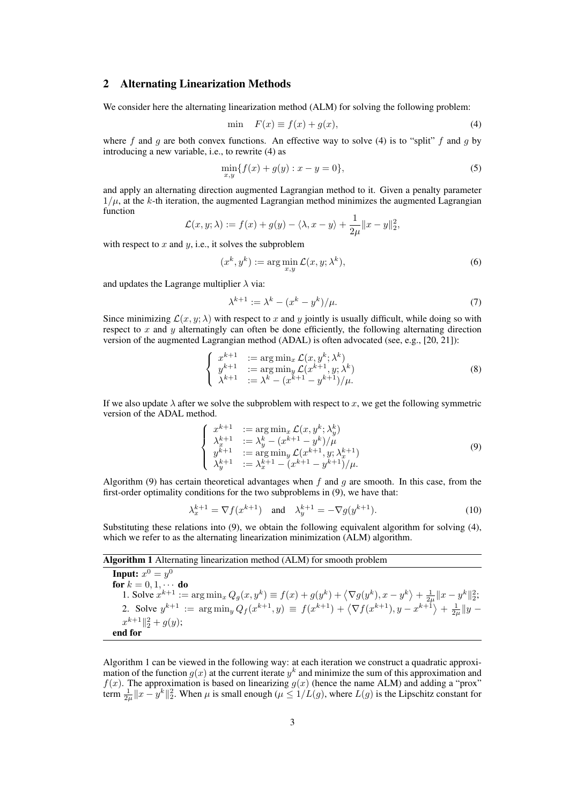## 2 Alternating Linearization Methods

We consider here the alternating linearization method (ALM) for solving the following problem:

$$
\min \quad F(x) \equiv f(x) + g(x),\tag{4}
$$

where *f* and *g* are both convex functions. An effective way to solve (4) is to "split" *f* and *g* by introducing a new variable, i.e., to rewrite (4) as

$$
\min_{x,y} \{ f(x) + g(y) : x - y = 0 \},\tag{5}
$$

and apply an alternating direction augmented Lagrangian method to it. Given a penalty parameter  $1/\mu$ , at the *k*-th iteration, the augmented Lagrangian method minimizes the augmented Lagrangian function

$$
\mathcal{L}(x, y; \lambda) := f(x) + g(y) - \langle \lambda, x - y \rangle + \frac{1}{2\mu} ||x - y||_2^2,
$$

with respect to  $x$  and  $y$ , i.e., it solves the subproblem

$$
(x^k, y^k) := \arg\min_{x,y} \mathcal{L}(x, y; \lambda^k),\tag{6}
$$

and updates the Lagrange multiplier  $\lambda$  via:

$$
\lambda^{k+1} := \lambda^k - (x^k - y^k) / \mu. \tag{7}
$$

Since minimizing  $\mathcal{L}(x, y; \lambda)$  with respect to x and y jointly is usually difficult, while doing so with respect to *x* and *y* alternatingly can often be done efficiently, the following alternating direction version of the augmented Lagrangian method (ADAL) is often advocated (see, e.g., [20, 21]):

$$
\begin{cases}\n x^{k+1} &:= \arg \min_{x} \mathcal{L}(x, y^k; \lambda^k) \\
y^{k+1} &:= \arg \min_{y} \mathcal{L}(x^{k+1}, y; \lambda^k) \\
\lambda^{k+1} &:= \lambda^k - (x^{k+1} - y^{k+1})/\mu.\n \end{cases}\n \tag{8}
$$

If we also update  $\lambda$  after we solve the subproblem with respect to x, we get the following symmetric version of the ADAL method.

$$
\begin{cases}\n x^{k+1} &:= \arg \min_{x} \mathcal{L}(x, y^k; \lambda_y^k) \\
\lambda_x^{k+1} &:= \lambda_y^k - (x^{k+1} - y^k) / \mu \\
y^{k+1} &:= \arg \min_{x} \mathcal{L}(x^{k+1}, y; \lambda_x^{k+1}) \\
\lambda_y^{k+1} &:= \lambda_x^{k+1} - (x^{k+1} - y^{k+1}) / \mu.\n\end{cases}
$$
\n(9)

Algorithm (9) has certain theoretical advantages when *f* and *g* are smooth. In this case, from the first-order optimality conditions for the two subproblems in (9), we have that:

$$
\lambda_x^{k+1} = \nabla f(x^{k+1}) \quad \text{and} \quad \lambda_y^{k+1} = -\nabla g(y^{k+1}).\tag{10}
$$

Substituting these relations into (9), we obtain the following equivalent algorithm for solving (4), which we refer to as the alternating linearization minimization (ALM) algorithm.

### Algorithm 1 Alternating linearization method (ALM) for smooth problem

Input:  $x^0 = y^0$ for  $k = 0, 1, \cdots$  do 1. Solve  $x^{k+1} := \arg \min_x Q_g(x, y^k) \equiv f(x) + g(y^k) + \langle \nabla g(y^k), x - y^k \rangle + \frac{1}{2\mu} ||x - y^k||_2^2$ 2. Solve  $y^{k+1} := \arg \min_{y} Q_f(x^{k+1}, y) \equiv f(x^{k+1}) + \langle \nabla f(x^{k+1}), y - x^{k+1} \rangle + \frac{1}{2\mu} ||y - y||$  $x^{k+1}$ <sup> $||$ </sup><sub>2</sub><sup>2</sup> + *g*(*y*); end for

Algorithm 1 can be viewed in the following way: at each iteration we construct a quadratic approximation of the function  $g(x)$  at the current iterate  $y<sup>k</sup>$  and minimize the sum of this approximation and  $f(x)$ . The approximation is based on linearizing  $g(x)$  (hence the name ALM) and adding a "prox" term  $\frac{1}{2\mu}||x-y^k||_2^2$ . When  $\mu$  is small enough ( $\mu \leq 1/L(g)$ , where  $L(g)$  is the Lipschitz constant for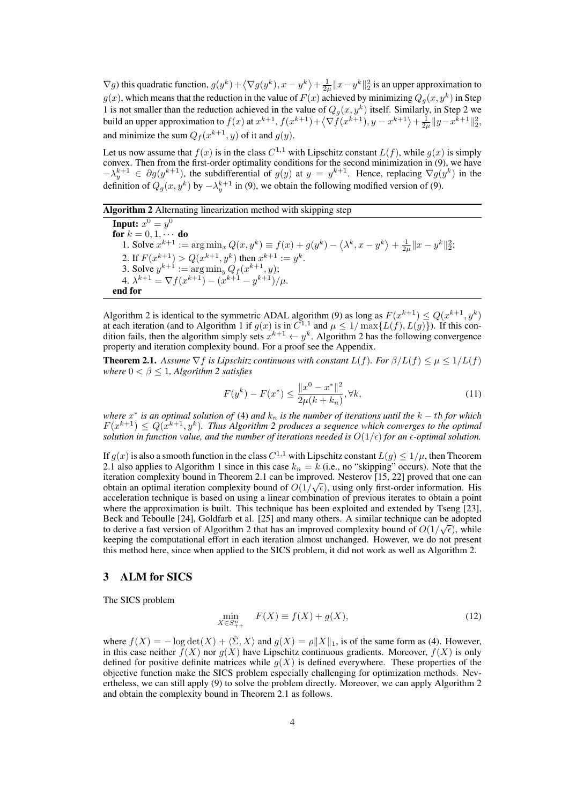$\nabla g$ ) this quadratic function,  $g(y^k) + \langle \nabla g(y^k), x - y^k \rangle + \frac{1}{2\mu} ||x - y^k||_2^2$  is an upper approximation to  $g(x)$ , which means that the reduction in the value of  $F(x)$  achieved by minimizing  $Q_g(x, y^k)$  in Step 1 is not smaller than the reduction achieved in the value of  $Q_g(x, y^k)$  itself. Similarly, in Step 2 we build an upper approximation to  $f(x)$  at  $x^{k+1}$ ,  $f(x^{k+1}) + \langle \nabla \tilde{f}(x^{k+1}), y - x^{k+1} \rangle + \frac{1}{2\mu} ||y - x^{k+1}||_2^2$ , and minimize the sum  $Q_f(x^{k+1}, y)$  of it and  $g(y)$ .

Let us now assume that  $f(x)$  is in the class  $C^{1,1}$  with Lipschitz constant  $L(f)$ , while  $g(x)$  is simply convex. Then from the first-order optimality conditions for the second minimization in (9), we have  $-\lambda_y^{k+1} \in \partial g(y^{k+1})$ , the subdifferential of  $g(y)$  at  $y = y^{k+1}$ . Hence, replacing  $\nabla g(y^k)$  in the definition of  $Q_g(x, y^k)$  by  $-\lambda_y^{k+1}$  in (9), we obtain the following modified version of (9).

# Algorithm 2 Alternating linearization method with skipping step

Input:  $x^0 = y^0$ for  $k = 0, 1, \cdots$  do 1. Solve  $x^{k+1} := \arg \min_x Q(x, y^k) \equiv f(x) + g(y^k) - \langle \lambda^k, x - y^k \rangle + \frac{1}{2\mu} ||x - y^k||_2^2$ 2. If  $F(x^{k+1}) > Q(x^{k+1}, y^k)$  then  $x^{k+1} := y^k$ . 3. Solve  $y^{k+1} := \arg \min_{y} Q_f(x^{k+1}, y);$ 4.  $\lambda^{k+1} = \nabla f(x^{k+1}) - (x^{k+1} - y^{k+1})/\mu$ . end for

Algorithm 2 is identical to the symmetric ADAL algorithm (9) as long as  $F(x^{k+1}) \leq Q(x^{k+1}, y^k)$ at each iteration (and to Algorithm 1 if  $g(x)$  is in  $C^{1,1}$  and  $\mu \leq 1/\max\{L(f), L(g)\}\)$ . If this condition fails, then the algorithm simply sets  $x^{k+1} \leftarrow y^k$ . Algorithm 2 has the following convergence property and iteration complexity bound. For a proof see the Appendix.

**Theorem 2.1.** Assume  $\nabla f$  is Lipschitz continuous with constant  $L(f)$ . For  $\beta/L(f) \leq \mu \leq 1/L(f)$ *where*  $0 < \beta \leq 1$ *, Algorithm 2 satisfies* 

$$
F(y^k) - F(x^*) \le \frac{\|x^0 - x^*\|^2}{2\mu(k + k_n)}, \forall k,
$$
\n(11)

*where x ∗ is an optimal solution of* (4) *and k<sup>n</sup> is the number of iterations until the k − th for which*  $F(x^{k+1}) \leq Q(x^{k+1}, y^k)$ . Thus Algorithm 2 produces a sequence which converges to the optimal *solution in function value, and the number of iterations needed is*  $O(1/\epsilon)$  *for an*  $\epsilon$ -*optimal solution.* 

If  $g(x)$  is also a smooth function in the class  $C^{1,1}$  with Lipschitz constant  $L(g) \leq 1/\mu$ , then Theorem 2.1 also applies to Algorithm 1 since in this case  $k_n = \hat{k}$  (i.e., no "skipping" occurs). Note that the iteration complexity bound in Theorem 2.1 can be improved. Nesterov [15, 22] proved that one can *√* obtain an optimal iteration complexity bound of  $O(1/\sqrt{\epsilon})$ , using only first-order information. His acceleration technique is based on using a linear combination of previous iterates to obtain a point where the approximation is built. This technique has been exploited and extended by Tseng [23], Beck and Teboulle [24], Goldfarb et al. [25] and many others. A similar technique can be adopted *√* to derive a fast version of Algorithm 2 that has an improved complexity bound of  $O(1/\sqrt{\epsilon})$ , while keeping the computational effort in each iteration almost unchanged. However, we do not present this method here, since when applied to the SICS problem, it did not work as well as Algorithm 2.

# 3 ALM for SICS

The SICS problem

$$
\min_{X \in S_{++}^n} F(X) \equiv f(X) + g(X),\tag{12}
$$

where  $f(X) = -\log \det(X) + \langle \hat{\Sigma}, X \rangle$  and  $g(X) = \rho \|X\|_1$ , is of the same form as (4). However, in this case neither  $\tilde{f}(X)$  nor  $g(X)$  have Lipschitz continuous gradients. Moreover,  $f(X)$  is only defined for positive definite matrices while  $g(X)$  is defined everywhere. These properties of the objective function make the SICS problem especially challenging for optimization methods. Nevertheless, we can still apply (9) to solve the problem directly. Moreover, we can apply Algorithm 2 and obtain the complexity bound in Theorem 2.1 as follows.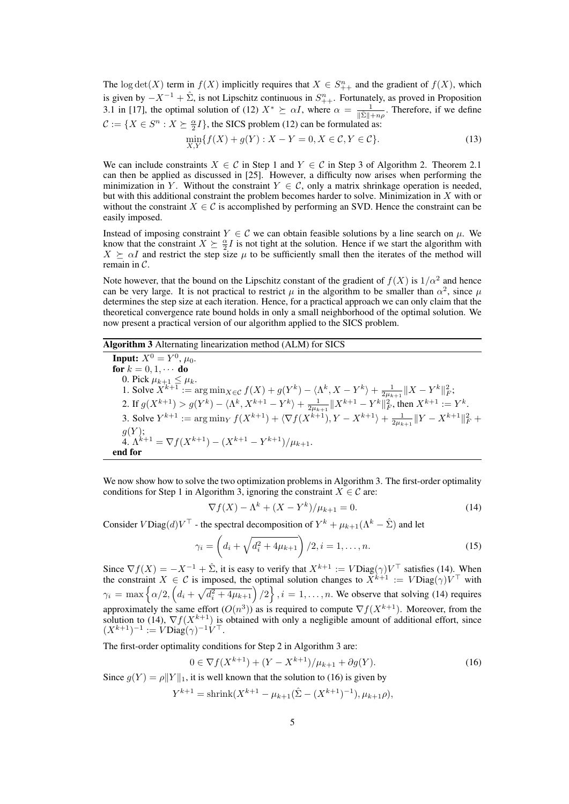The log det(*X*) term in  $f(X)$  implicitly requires that  $X \in S_{++}^n$  and the gradient of  $f(X)$ , which is given by  $-X^{-1} + \hat{\Sigma}$ , is not Lipschitz continuous in  $S_{++}^n$ . Fortunately, as proved in Proposition 3.1 in [17], the optimal solution of (12)  $X^* \geq \alpha I$ , where  $\alpha = \frac{1}{\|\hat{\Sigma}\| + n\rho}$ . Therefore, if we define  $\mathcal{C} := \{ X \in S^n : X \succeq \frac{\alpha}{2} I \}$ , the SICS problem (12) can be formulated as:

$$
\min_{X,Y} \{ f(X) + g(Y) : X - Y = 0, X \in \mathcal{C}, Y \in \mathcal{C} \}. \tag{13}
$$

We can include constraints  $X \in \mathcal{C}$  in Step 1 and  $Y \in \mathcal{C}$  in Step 3 of Algorithm 2. Theorem 2.1 can then be applied as discussed in [25]. However, a difficulty now arises when performing the minimization in *Y*. Without the constraint  $Y \in \mathcal{C}$ , only a matrix shrinkage operation is needed, but with this additional constraint the problem becomes harder to solve. Minimization in *X* with or without the constraint  $X \in \mathcal{C}$  is accomplished by performing an SVD. Hence the constraint can be easily imposed.

Instead of imposing constraint  $Y \in \mathcal{C}$  we can obtain feasible solutions by a line search on  $\mu$ . We know that the constraint  $X \succeq \frac{\alpha}{2}I$  is not tight at the solution. Hence if we start the algorithm with  $X \succeq \alpha I$  and restrict the step size  $\mu$  to be sufficiently small then the iterates of the method will remain in *C*.

Note however, that the bound on the Lipschitz constant of the gradient of  $f(X)$  is  $1/\alpha^2$  and hence can be very large. It is not practical to restrict  $\mu$  in the algorithm to be smaller than  $\alpha^2$ , since  $\mu$ determines the step size at each iteration. Hence, for a practical approach we can only claim that the theoretical convergence rate bound holds in only a small neighborhood of the optimal solution. We now present a practical version of our algorithm applied to the SICS problem.

## Algorithm 3 Alternating linearization method (ALM) for SICS

**Input:**  $X^0 = Y^0$ ,  $\mu_0$ . for  $k = 0, 1, \cdots$  do 0. Pick  $\mu_{k+1} \leq \mu_k$ . 1. Solve  $X^{k+1} := \arg \min_{X \in \mathcal{C}} f(X) + g(Y^k) - \langle \Lambda^k, X - Y^k \rangle + \frac{1}{2\mu_{k+1}} ||X - Y^k||_F^2;$ 2. If  $g(X^{k+1}) > g(Y^k) - \langle \Lambda^k, X^{k+1} - Y^k \rangle + \frac{1}{2\mu_{k+1}} ||X^{k+1} - Y^k||_F^2$ , then  $X^{k+1} := Y^k$ . 3. Solve  $Y^{k+1} := \arg \min_Y f(X^{k+1}) + \langle \nabla f(X^{k+1}), Y - X^{k+1} \rangle + \frac{1}{2\mu_{k+1}} ||Y - X^{k+1}||_F^2$ *g*(*Y* );  $\overline{A} \cdot \Lambda^{k+1} = \nabla f(X^{k+1}) - (X^{k+1} - Y^{k+1})/\mu_{k+1}.$ end for

We now show how to solve the two optimization problems in Algorithm 3. The first-order optimality conditions for Step 1 in Algorithm 3, ignoring the constraint  $X \in \mathcal{C}$  are:

$$
\nabla f(X) - \Lambda^k + (X - Y^k) / \mu_{k+1} = 0.
$$
\n(14)

Consider  $V\text{Diag}(d)V^{\top}$  - the spectral decomposition of  $Y^k + \mu_{k+1}(\Lambda^k - \hat{\Sigma})$  and let

$$
\gamma_i = \left(d_i + \sqrt{d_i^2 + 4\mu_{k+1}}\right)/2, i = 1, \dots, n.
$$
\n(15)

Since  $\nabla f(X) = -X^{-1} + \hat{\Sigma}$ , it is easy to verify that  $X^{k+1} := V \text{Diag}(\gamma) V^{\top}$  satisfies (14). When the constraint  $X \in \mathcal{C}$  is imposed, the optimal solution changes to  $\bar{X}^{k+1} := V\text{Diag}(\gamma)V^{\top}$  with  $\gamma_i = \max \left\{ \alpha/2, \left( d_i + \sqrt{d_i^2 + 4\mu_{k+1}} \right) / 2 \right\}, i = 1, \dots, n$ . We observe that solving (14) requires approximately the same effort  $(O(n^3))$  as is required to compute  $\nabla f(X^{k+1})$ . Moreover, from the solution to (14),  $\nabla f(X^{k+1})$  is obtained with only a negligible amount of additional effort, since  $(X^{k+1})^{-1} := V \text{Diag}(\gamma)^{-1} V^{\top}.$ 

The first-order optimality conditions for Step 2 in Algorithm 3 are:

$$
0 \in \nabla f(X^{k+1}) + (Y - X^{k+1})/\mu_{k+1} + \partial g(Y). \tag{16}
$$

Since  $g(Y) = \rho \|Y\|_1$ , it is well known that the solution to (16) is given by

$$
Y^{k+1} = \text{shrink}(X^{k+1} - \mu_{k+1}(\hat{\Sigma} - (X^{k+1})^{-1}), \mu_{k+1}\rho),
$$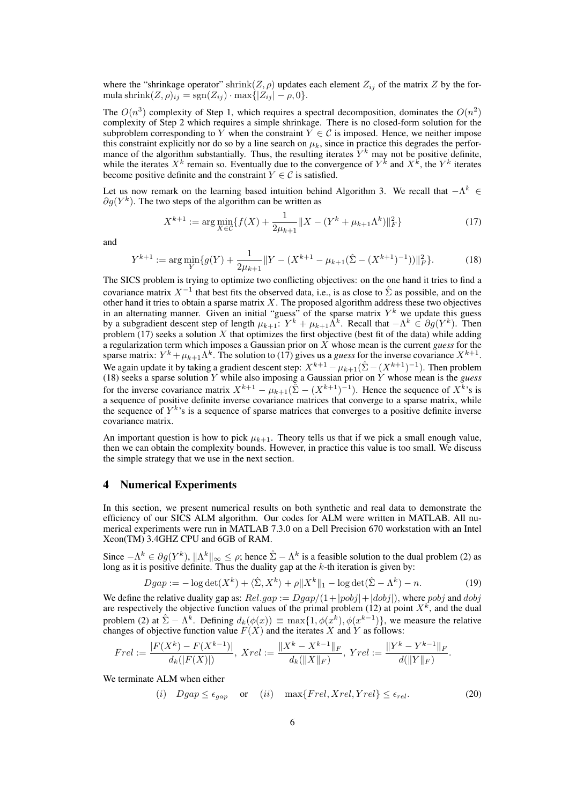where the "shrinkage operator" shrink $(Z, \rho)$  updates each element  $Z_{ij}$  of the matrix  $Z$  by the formula shrink $(Z, \rho)_{ij} = \text{sgn}(Z_{ij}) \cdot \text{max} \{ |Z_{ij}| - \rho, 0 \}.$ 

The  $O(n^3)$  complexity of Step 1, which requires a spectral decomposition, dominates the  $O(n^2)$ complexity of Step 2 which requires a simple shrinkage. There is no closed-form solution for the subproblem corresponding to *Y* when the constraint  $Y \in C$  is imposed. Hence, we neither impose this constraint explicitly nor do so by a line search on  $\mu_k$ , since in practice this degrades the performance of the algorithm substantially. Thus, the resulting iterates  $Y^k$  may not be positive definite, while the iterates  $X^k$  remain so. Eventually due to the convergence of  $Y^k$  and  $X^k$ , the  $Y^k$  iterates become positive definite and the constraint  $Y \in \mathcal{C}$  is satisfied.

Let us now remark on the learning based intuition behind Algorithm 3. We recall that *−*Λ *<sup>k</sup> ∈ ∂g*(*Y k* ). The two steps of the algorithm can be written as

$$
X^{k+1} := \arg\min_{X \in \mathcal{C}} \{ f(X) + \frac{1}{2\mu_{k+1}} \| X - (Y^k + \mu_{k+1} \Lambda^k) \|_F^2 \}
$$
(17)

and

$$
Y^{k+1} := \arg\min_{Y} \{ g(Y) + \frac{1}{2\mu_{k+1}} \| Y - (X^{k+1} - \mu_{k+1}(\hat{\Sigma} - (X^{k+1})^{-1})) \|_{F}^{2} \}.
$$
 (18)

The SICS problem is trying to optimize two conflicting objectives: on the one hand it tries to find a covariance matrix  $X^{-1}$  that best fits the observed data, i.e., is as close to  $\hat{\Sigma}$  as possible, and on the other hand it tries to obtain a sparse matrix *X*. The proposed algorithm address these two objectives in an alternating manner. Given an initial "guess" of the sparse matrix  $Y^k$  we update this guess by a subgradient descent step of length  $\mu_{k+1}: Y^k + \mu_{k+1} \overline{\Lambda}^k$ . Recall that  $-\Lambda^k \in \partial g(Y^k)$ . Then problem (17) seeks a solution *X* that optimizes the first objective (best fit of the data) while adding a regularization term which imposes a Gaussian prior on *X* whose mean is the current *guess* for the sparse matrix:  $Y^k + \mu_{k+1} \Lambda^k$ . The solution to (17) gives us a *guess* for the inverse covariance  $X^{k+1}$ . We again update it by taking a gradient descent step:  $X^{k+1} - \mu_{k+1}(\hat{\Sigma} - (X^{k+1})^{-1})$ . Then problem (18) seeks a sparse solution *Y* while also imposing a Gaussian prior on *Y* whose mean is the *guess* for the inverse covariance matrix  $X^{k+1} - \mu_{k+1}(\hat{\Sigma} - (X^{k+1})^{-1})$ . Hence the sequence of  $X^k$ 's is a sequence of positive definite inverse covariance matrices that converge to a sparse matrix, while the sequence of  $Y^k$ 's is a sequence of sparse matrices that converges to a positive definite inverse covariance matrix.

An important question is how to pick  $\mu_{k+1}$ . Theory tells us that if we pick a small enough value, then we can obtain the complexity bounds. However, in practice this value is too small. We discuss the simple strategy that we use in the next section.

#### 4 Numerical Experiments

In this section, we present numerical results on both synthetic and real data to demonstrate the efficiency of our SICS ALM algorithm. Our codes for ALM were written in MATLAB. All numerical experiments were run in MATLAB 7.3.0 on a Dell Precision 670 workstation with an Intel Xeon(TM) 3.4GHZ CPU and 6GB of RAM.

Since  $-\Lambda^k \in \partial g(Y^k)$ ,  $||\Lambda^k||_{\infty} \leq \rho$ ; hence  $\hat{\Sigma} - \Lambda^k$  is a feasible solution to the dual problem (2) as long as it is positive definite. Thus the duality gap at the *k*-th iteration is given by:

$$
Dgap := -\log \det(X^k) + \langle \hat{\Sigma}, X^k \rangle + \rho \| X^k \|_1 - \log \det(\hat{\Sigma} - \Lambda^k) - n. \tag{19}
$$

We define the relative duality gap as:  $Rel.gap := Dgap/(1+|pobj|+|dobj|)$ , where  $pobj$  and  $dobj$ are respectively the objective function values of the primal problem  $(12)$  at point  $X^k$ , and the dual problem (2) at  $\hat{\Sigma} - \Lambda^k$ . Defining  $d_k(\phi(x)) \equiv \max\{1, \phi(x^k), \phi(x^{k-1})\}$ , we measure the relative changes of objective function value  $F(X)$  and the iterates  $X$  and  $Y$  as follows:

$$
Frel := \frac{|F(X^{k}) - F(X^{k-1})|}{d_k(|F(X)|)}, \ Xrel := \frac{||X^{k} - X^{k-1}||_F}{d_k(||X||_F)}, \ Yrel := \frac{||Y^{k} - Y^{k-1}||_F}{d(||Y||_F)}.
$$

We terminate ALM when either

$$
(i) \tDgap \le \epsilon_{gap} \t or \t(ii) \tmax\{Frel, Xrel, Yrel\} \le \epsilon_{rel}. \t(20)
$$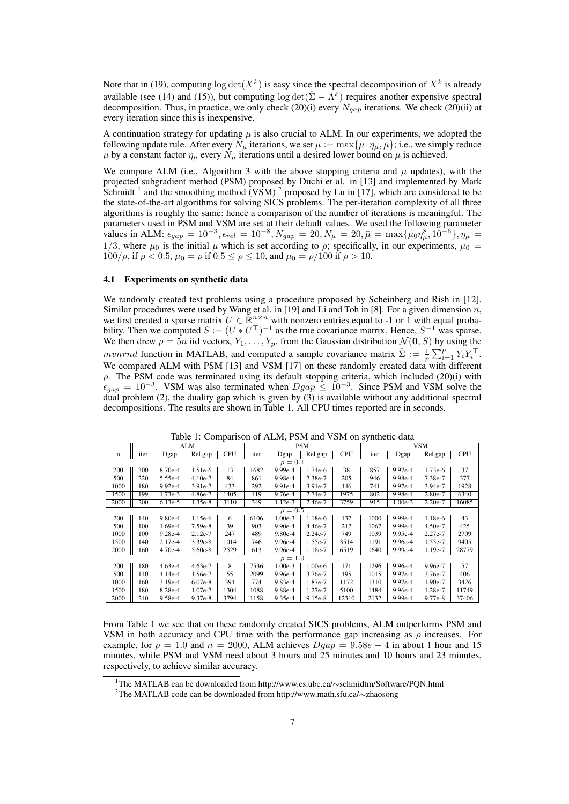Note that in (19), computing  $\log \det(X^k)$  is easy since the spectral decomposition of  $X^k$  is already available (see (14) and (15)), but computing  $\log \det(\hat{\Sigma} - \Lambda^k)$  requires another expensive spectral decomposition. Thus, in practice, we only check (20)(i) every *Ngap* iterations. We check (20)(ii) at every iteration since this is inexpensive.

A continuation strategy for updating  $\mu$  is also crucial to ALM. In our experiments, we adopted the following update rule. After every  $N_\mu$  iterations, we set  $\mu := \max{\{\mu \cdot \eta_\mu, \bar{\mu}\}}$ ; i.e., we simply reduce *μ* by a constant factor  $η<sub>μ</sub>$  every  $N<sub>μ</sub>$  iterations until a desired lower bound on *μ* is achieved.

We compare ALM (i.e., Algorithm 3 with the above stopping criteria and  $\mu$  updates), with the projected subgradient method (PSM) proposed by Duchi et al. in [13] and implemented by Mark Schmidt<sup>1</sup> and the smoothing method (VSM)<sup>2</sup> proposed by Lu in [17], which are considered to be the state-of-the-art algorithms for solving SICS problems. The per-iteration complexity of all three algorithms is roughly the same; hence a comparison of the number of iterations is meaningful. The parameters used in PSM and VSM are set at their default values. We used the following parameter values in ALM:  $\epsilon_{gap} = 10^{-3}$ ,  $\epsilon_{rel} = 10^{-8}$ ,  $N_{gap} = 20$ ,  $N_{\mu} = 20$ ,  $\bar{\mu} = \max{\mu_0 \eta_{\mu}^8, 10^{-6}}$ ,  $\eta_{\mu} =$ 1/3, where  $\mu_0$  is the initial  $\mu$  which is set according to  $\rho$ ; specifically, in our experiments,  $\mu_0 =$  $100/\rho$ , if  $\rho < 0.5$ ,  $\mu_0 = \rho$  if  $0.5 \le \rho \le 10$ , and  $\mu_0 = \rho/100$  if  $\rho > 10$ .

#### 4.1 Experiments on synthetic data

We randomly created test problems using a procedure proposed by Scheinberg and Rish in [12]. Similar procedures were used by Wang et al. in [19] and Li and Toh in [8]. For a given dimension *n*, we first created a sparse matrix  $U \in \mathbb{R}^{n \times n}$  with nonzero entries equal to -1 or 1 with equal probability. Then we computed  $S := (U * U^T)^{-1}$  as the true covariance matrix. Hence,  $S^{-1}$  was sparse. We then drew  $p = 5n$  iid vectors,  $Y_1, \ldots, Y_p$ , from the Gaussian distribution  $\mathcal{N}(\mathbf{0}, S)$  by using the *mvnrnd* function in MATLAB, and computed a sample covariance matrix  $\hat{\Sigma} := \frac{1}{p} \sum_{i=1}^{p} Y_i Y_i^{\top}$ . We compared ALM with PSM [13] and VSM [17] on these randomly created data with different *ρ*. The PSM code was terminated using its default stopping criteria, which included (20)(i) with  $\epsilon_{gap} = 10^{-3}$ . VSM was also terminated when  $Dgap \leq 10^{-3}$ . Since PSM and VSM solve the dual problem (2), the duality gap which is given by (3) is available without any additional spectral decompositions. The results are shown in Table 1. All CPU times reported are in seconds.

|              |      |           | ALM       |      | PSM  |           |           |            | <b>VSM</b> |           |           |            |
|--------------|------|-----------|-----------|------|------|-----------|-----------|------------|------------|-----------|-----------|------------|
| n            | iter | Dgap      | Rel.gap   | CPU  | iter | Dgap      | Rel.gap   | <b>CPU</b> | iter       | Dgap      | Rel.gap   | <b>CPU</b> |
| $\rho=0.1$   |      |           |           |      |      |           |           |            |            |           |           |            |
| 200          | 300  | 8.70e-4   | $1.51e-6$ | 13   | 1682 | $9.99e-4$ | 1.74e-6   | 38         | 857        | 9.97e-4   | 1.73e-6   | 37         |
| 500          | 220  | 5.55e-4   | $4.10e-7$ | 84   | 861  | 9.98e-4   | 7.38e-7   | 205        | 946        | $9.98e-4$ | 7.38e-7   | 377        |
| 1000         | 180  | $9.92e-4$ | $3.91e-7$ | 433  | 292  | $9.91e-4$ | 3.91e-7   | 446        | 741        | 9.97e-4   | $3.94e-7$ | 1928       |
| 1500         | 199  | $1.73e-3$ | 4.86e-7   | 1405 | 419  | 9.76e-4   | 2.74e-7   | 1975       | 802        | 9.98e-4   | $2.80e-7$ | 6340       |
| 2000         | 200  | $6.13e-5$ | $1.35e-8$ | 3110 | 349  | $1.12e-3$ | 2.46e-7   | 3759       | 915        | $1.00e-3$ | $2.20e-7$ | 16085      |
| $\rho = 0.5$ |      |           |           |      |      |           |           |            |            |           |           |            |
| 200          | 140  | $9.80e-4$ | $1.15e-6$ | 6    | 6106 | $1.00e-3$ | $1.18e-6$ | 137        | 1000       | $9.99e-4$ | 1.18e-6   | 43         |
| 500          | 100  | $1.69e-4$ | 7.59e-8   | 39   | 903  | $9.90e-4$ | 4.46e-7   | 212        | 1067       | $9.99e-4$ | $4.50e-7$ | 425        |
| 1000         | 100  | $9.28e-4$ | $2.12e-7$ | 247  | 489  | 9.80e-4   | 2.24e-7   | 749        | 1039       | 9.95e-4   | $2.27e-7$ | 2709       |
| 1500         | 140  | $2.17e-4$ | $3.39e-8$ | 1014 | 746  | 9.96e-4   | 1.55e-7   | 3514       | 1191       | 9.96e-4   | 1.55e-7   | 9405       |
| 2000         | 160  | $4.70e-4$ | $5.60e-8$ | 2529 | 613  | 9.96e-4   | 1.18e-7   | 6519       | 1640       | $9.99e-4$ | 1.19e-7   | 28779      |
| $\rho = 1.0$ |      |           |           |      |      |           |           |            |            |           |           |            |
| 200          | 180  | $4.63e-4$ | $4.63e-7$ | 8    | 7536 | $1.00e-3$ | $1.00e-6$ | 171        | 1296       | $9.96e-4$ | 9.96e-7   | 57         |
| 500          | 140  | $4.14e-4$ | 1.56e-7   | 55   | 2099 | 9.96e-4   | 3.76e-7   | 495        | 1015       | 9.97e-4   | 3.76e-7   | 406        |
| 1000         | 160  | $3.19e-4$ | $6.07e-8$ | 394  | 774  | 9.83e-4   | 1.87e-7   | 1172       | 1310       | 9.97e-4   | 1.90e-7   | 3426       |
| 1500         | 180  | 8.28e-4   | 1.07e-7   | 1304 | 1088 | 9.88e-4   | 1.27e-7   | 5100       | 1484       | 9.96e-4   | 1.28e-7   | 11749      |
| 2000         | 240  | 9.58e-4   | $9.37e-8$ | 3794 | 1158 | 9.35e-4   | $9.15e-8$ | 12310      | 2132       | $9.99e-4$ | 9.77e-8   | 37406      |

Table 1: Comparison of ALM, PSM and VSM on synthetic data

From Table 1 we see that on these randomly created SICS problems, ALM outperforms PSM and VSM in both accuracy and CPU time with the performance gap increasing as  $\rho$  increases. For example, for  $\rho = 1.0$  and  $n = 2000$ , ALM achieves  $Dgap = 9.58e - 4$  in about 1 hour and 15 minutes, while PSM and VSM need about 3 hours and 25 minutes and 10 hours and 23 minutes, respectively, to achieve similar accuracy.

<sup>1</sup>The MATLAB can be downloaded from http://www.cs.ubc.ca/*∼*schmidtm/Software/PQN.html

<sup>2</sup>The MATLAB code can be downloaded from http://www.math.sfu.ca/*∼*zhaosong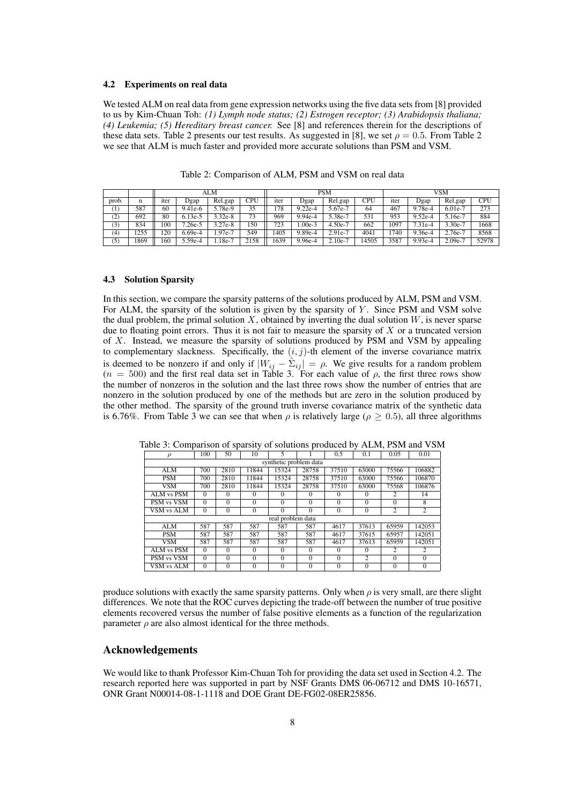#### 4.2 Experiments on real data

We tested ALM on real data from gene expression networks using the five data sets from [8] provided to us by Kim-Chuan Toh: *(1) Lymph node status; (2) Estrogen receptor; (3) Arabidopsis thaliana; (4) Leukemia; (5) Hereditary breast cancer.* See [8] and references therein for the descriptions of these data sets. Table 2 presents our test results. As suggested in [8], we set  $\rho = 0.5$ . From Table 2 we see that ALM is much faster and provided more accurate solutions than PSM and VSM.

|            |      | ALM              |           |         |      | <b>PSM</b> |             |              |       | VSM  |           |                       |       |
|------------|------|------------------|-----------|---------|------|------------|-------------|--------------|-------|------|-----------|-----------------------|-------|
| prob.      | n    | <sub>1</sub> ter | Dgap      | Rel.gap | CPU  | iter       | <b>Dgap</b> | Rel.gap      | CPU   | iter | Dgap      | Rel.gap               | CPU   |
| $^{(1)}$   | 587  | 60               | $9.41e-6$ | 5.78e-9 | 35   | 178        | $9.22e-4$   | 5.67e-7      | 64    | 467  | 9.78e-4   | $\overline{6.01}$ e-7 | 273   |
| (2)<br>ι∠, | 692  | 80               | $6.13e-5$ | 3.32e-8 | 73   | 969        | $9.94e-4$   | 5.38e-7      | 531   | 953  | $9.52e-4$ | 5.16e-7               | 884   |
| (3)        | 834  | 100              | $7.26e-5$ | 3.27e-8 | 150  | 723        | $.00e-3$    | $4.50e^{-7}$ | 662   | 1097 | $7.31e-4$ | 3.30e-7               | 1668  |
| (4)        | 255  | 20               | $6.69e-4$ | .97e-7  | 549  | 405        | $9.89e-4$   | 2.91e-7      | 4041  | 740  | $9.36e-4$ | 2.76e-7               | 8568  |
| (5)        | 1869 | 160              | $5.59e-4$ | 18e-7   | 2158 | 639        | 9.96e-4     | $2.10e^{-7}$ | 14505 | 3587 | $9.93e-4$ | 2.09e-7               | 52978 |

Table 2: Comparison of ALM, PSM and VSM on real data

#### 4.3 Solution Sparsity

In this section, we compare the sparsity patterns of the solutions produced by ALM, PSM and VSM. For ALM, the sparsity of the solution is given by the sparsity of *Y*. Since PSM and VSM solve the dual problem, the primal solution *X*, obtained by inverting the dual solution *W*, is never sparse due to floating point errors. Thus it is not fair to measure the sparsity of *X* or a truncated version of *X*. Instead, we measure the sparsity of solutions produced by PSM and VSM by appealing to complementary slackness. Specifically, the  $(i, j)$ -th element of the inverse covariance matrix is deemed to be nonzero if and only if  $|W_{ij} - \hat{\Sigma}_{ij}| = \rho$ . We give results for a random problem  $(n = 500)$  and the first real data set in Table 3. For each value of  $\rho$ , the first three rows show the number of nonzeros in the solution and the last three rows show the number of entries that are nonzero in the solution produced by one of the methods but are zero in the solution produced by the other method. The sparsity of the ground truth inverse covariance matrix of the synthetic data is 6.76%. From Table 3 we can see that when  $\rho$  is relatively large ( $\rho > 0.5$ ), all three algorithms

|                        |          | ╯              |                | ╯        |          |          |                |                |          |  |  |
|------------------------|----------|----------------|----------------|----------|----------|----------|----------------|----------------|----------|--|--|
| 100<br>$\rho$          |          | 50             | 10             |          |          | 0.5      | 0.1            | 0.05           | 0.01     |  |  |
| synthetic problem data |          |                |                |          |          |          |                |                |          |  |  |
| ALM                    | 700      | 2810           | 11844          | 15324    | 28758    | 37510    | 63000          | 75566          | 106882   |  |  |
| <b>PSM</b>             | 700      | 2810           | 11844          | 15324    | 28758    | 37510    | 63000          | 75566          | 106870   |  |  |
| <b>VSM</b>             | 700      | 2810           | 11844          | 15324    | 28758    | 37510    | 63000          | 75568          | 106876   |  |  |
| ALM vs PSM             | $\Omega$ | $\Omega$       | $\Omega$       | $\Omega$ | $\Omega$ | $\Omega$ | $\Omega$       | 2              | 14       |  |  |
| PSM vs VSM             | $\Omega$ | $\Omega$       | $\Omega$       | $\Omega$ | $\theta$ | $\Omega$ | $\theta$       | $\Omega$       | 8        |  |  |
| <b>VSM vs ALM</b>      | $\Omega$ | $\Omega$       | $\theta$       | $\Omega$ | $\theta$ | $\Omega$ | $\theta$       | 2              | 2        |  |  |
| real problem data      |          |                |                |          |          |          |                |                |          |  |  |
| <b>ALM</b>             | 587      | 587            | 587            | 587      | 587      | 4617     | 37613          | 65959          | 142053   |  |  |
| <b>PSM</b>             | 587      | 587            | 587            | 587      | 587      | 4617     | 37615          | 65957          | 142051   |  |  |
| <b>VSM</b>             | 587      | 587            | 587            | 587      | 587      | 4617     | 37613          | 65959          | 142051   |  |  |
| ALM vs PSM             | $\Omega$ | $\Omega$       | $\Omega$       | $\Omega$ | $\Omega$ | $\Omega$ | $\Omega$       | $\mathfrak{D}$ | 2        |  |  |
| PSM vs VSM             | $\Omega$ | $\Omega$       | $\theta$       | $\theta$ | $\theta$ | $\Omega$ | $\overline{c}$ | $\Omega$       | $\Omega$ |  |  |
| VSM vs ALM             | $\Omega$ | $\overline{0}$ | $\overline{0}$ | $\Omega$ | $\theta$ | $\Omega$ | $\theta$       | $\Omega$       | $\theta$ |  |  |

Table 3: Comparison of sparsity of solutions produced by ALM, PSM and VSM

produce solutions with exactly the same sparsity patterns. Only when  $\rho$  is very small, are there slight differences. We note that the ROC curves depicting the trade-off between the number of true positive elements recovered versus the number of false positive elements as a function of the regularization parameter  $\rho$  are also almost identical for the three methods.

#### Acknowledgements

We would like to thank Professor Kim-Chuan Toh for providing the data set used in Section 4.2. The research reported here was supported in part by NSF Grants DMS 06-06712 and DMS 10-16571, ONR Grant N00014-08-1-1118 and DOE Grant DE-FG02-08ER25856.